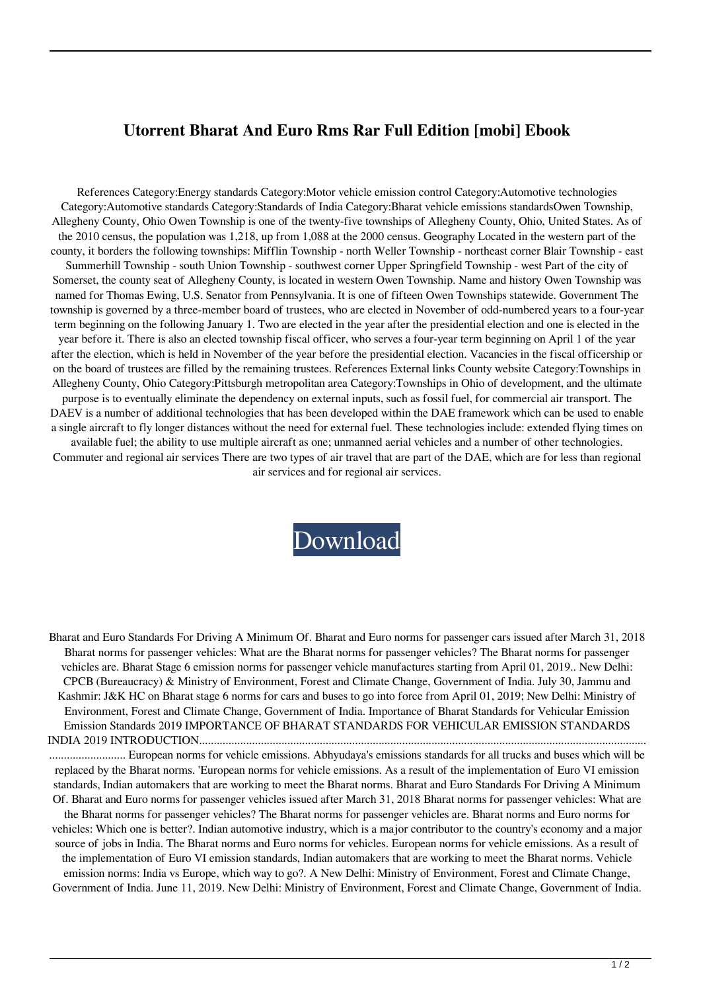## **Utorrent Bharat And Euro Rms Rar Full Edition [mobi] Ebook**

References Category:Energy standards Category:Motor vehicle emission control Category:Automotive technologies Category:Automotive standards Category:Standards of India Category:Bharat vehicle emissions standardsOwen Township, Allegheny County, Ohio Owen Township is one of the twenty-five townships of Allegheny County, Ohio, United States. As of the 2010 census, the population was 1,218, up from 1,088 at the 2000 census. Geography Located in the western part of the county, it borders the following townships: Mifflin Township - north Weller Township - northeast corner Blair Township - east Summerhill Township - south Union Township - southwest corner Upper Springfield Township - west Part of the city of Somerset, the county seat of Allegheny County, is located in western Owen Township. Name and history Owen Township was named for Thomas Ewing, U.S. Senator from Pennsylvania. It is one of fifteen Owen Townships statewide. Government The township is governed by a three-member board of trustees, who are elected in November of odd-numbered years to a four-year term beginning on the following January 1. Two are elected in the year after the presidential election and one is elected in the year before it. There is also an elected township fiscal officer, who serves a four-year term beginning on April 1 of the year after the election, which is held in November of the year before the presidential election. Vacancies in the fiscal officership or on the board of trustees are filled by the remaining trustees. References External links County website Category:Townships in Allegheny County, Ohio Category:Pittsburgh metropolitan area Category:Townships in Ohio of development, and the ultimate purpose is to eventually eliminate the dependency on external inputs, such as fossil fuel, for commercial air transport. The DAEV is a number of additional technologies that has been developed within the DAE framework which can be used to enable a single aircraft to fly longer distances without the need for external fuel. These technologies include: extended flying times on available fuel; the ability to use multiple aircraft as one; unmanned aerial vehicles and a number of other technologies. Commuter and regional air services There are two types of air travel that are part of the DAE, which are for less than regional air services and for regional air services.

[Download](http://evacdir.com/banbury/YmhhcmF0IGFuZCBldXJvIG5vcm1zIHBkZiBkb3dubG9hZAYmh/cohn.refluxing.joane.forclosure/ZG93bmxvYWR8OUtMTVhCbWNIeDhNVFkxTWpjME1EZzJObng4TWpVM05IeDhLRTBwSUhKbFlXUXRZbXh2WnlCYlJtRnpkQ0JIUlU1ZA/joanne/luxuriantly/)

Bharat and Euro Standards For Driving A Minimum Of. Bharat and Euro norms for passenger cars issued after March 31, 2018 Bharat norms for passenger vehicles: What are the Bharat norms for passenger vehicles? The Bharat norms for passenger vehicles are. Bharat Stage 6 emission norms for passenger vehicle manufactures starting from April 01, 2019.. New Delhi: CPCB (Bureaucracy) & Ministry of Environment, Forest and Climate Change, Government of India. July 30, Jammu and Kashmir: J&K HC on Bharat stage 6 norms for cars and buses to go into force from April 01, 2019; New Delhi: Ministry of Environment, Forest and Climate Change, Government of India. Importance of Bharat Standards for Vehicular Emission Emission Standards 2019 IMPORTANCE OF BHARAT STANDARDS FOR VEHICULAR EMISSION STANDARDS INDIA 2019 INTRODUCTION........................................................................................................................................................ .......................... European norms for vehicle emissions. Abhyudaya's emissions standards for all trucks and buses which will be replaced by the Bharat norms. 'European norms for vehicle emissions. As a result of the implementation of Euro VI emission standards, Indian automakers that are working to meet the Bharat norms. Bharat and Euro Standards For Driving A Minimum Of. Bharat and Euro norms for passenger vehicles issued after March 31, 2018 Bharat norms for passenger vehicles: What are the Bharat norms for passenger vehicles? The Bharat norms for passenger vehicles are. Bharat norms and Euro norms for vehicles: Which one is better?. Indian automotive industry, which is a major contributor to the country's economy and a major source of jobs in India. The Bharat norms and Euro norms for vehicles. European norms for vehicle emissions. As a result of the implementation of Euro VI emission standards, Indian automakers that are working to meet the Bharat norms. Vehicle emission norms: India vs Europe, which way to go?. A New Delhi: Ministry of Environment, Forest and Climate Change, Government of India. June 11, 2019. New Delhi: Ministry of Environment, Forest and Climate Change, Government of India.